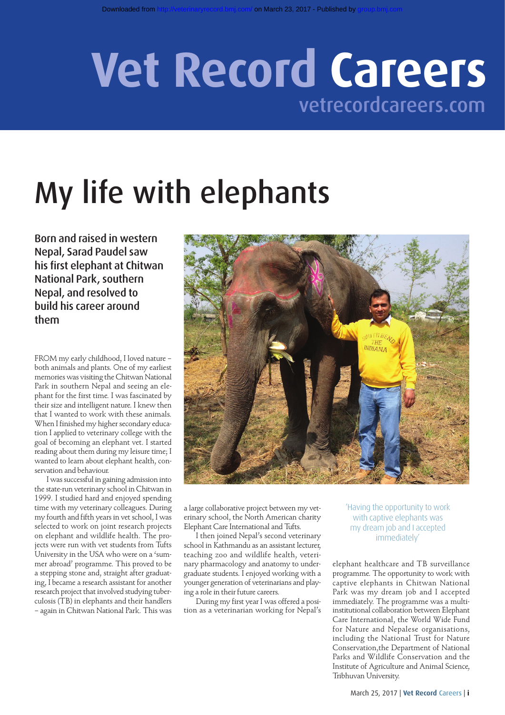## **Vet Record Careers** vetrecordcareers.com

# My life with elephants

Born and raised in western Nepal, Sarad Paudel saw his first elephant at Chitwan National Park, southern Nepal, and resolved to build his career around them

FROM my early childhood, I loved nature – both animals and plants. One of my earliest memories was visiting the Chitwan National Park in southern Nepal and seeing an elephant for the first time. I was fascinated by their size and intelligent nature. I knew then that I wanted to work with these animals. When I finished my higher secondary education I applied to veterinary college with the goal of becoming an elephant vet. I started reading about them during my leisure time; I wanted to learn about elephant health, conservation and behaviour.

I was successful in gaining admission into the state-run veterinary school in Chitwan in 1999. I studied hard and enjoyed spending time with my veterinary colleagues. During my fourth and fifth years in vet school, I was selected to work on joint research projects on elephant and wildlife health. The projects were run with vet students from Tufts University in the USA who were on a 'summer abroad' programme. This proved to be a stepping stone and, straight after graduating, I became a research assistant for another research project that involved studying tuberculosis (TB) in elephants and their handlers – again in Chitwan National Park. This was



a large collaborative project between my veterinary school, the North American charity Elephant Care International and Tufts.

I then joined Nepal's second veterinary school in Kathmandu as an assistant lecturer, teaching zoo and wildlife health, veterinary pharmacology and anatomy to undergraduate students. I enjoyed working with a younger generation of veterinarians and playing a role in their future careers.

During my first year I was offered a position as a veterinarian working for Nepal's 'Having the opportunity to work with captive elephants was my dream job and I accepted immediately'

elephant healthcare and TB surveillance programme. The opportunity to work with captive elephants in Chitwan National Park was my dream job and I accepted immediately. The programme was a multiinstitutional collaboration between Elephant Care International, the World Wide Fund for Nature and Nepalese organisations, including the National Trust for Nature Conservation,the Department of National Parks and Wildlife Conservation and the Institute of Agriculture and Animal Science, Tribhuvan University.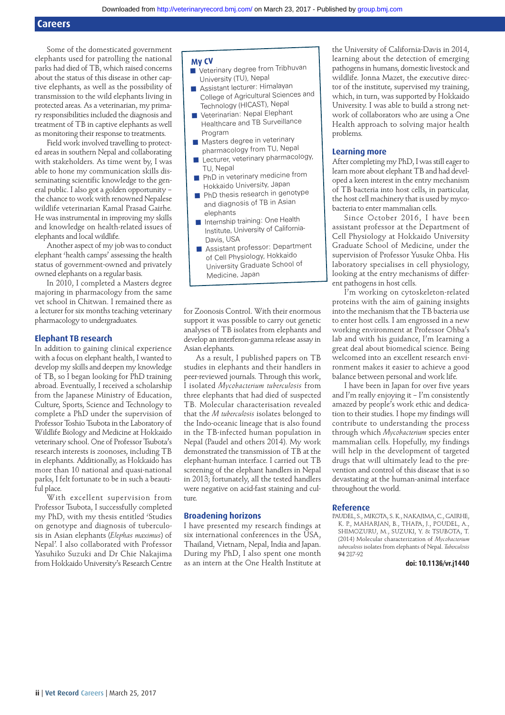Some of the domesticated government elephants used for patrolling the national parks had died of TB, which raised concerns about the status of this disease in other captive elephants, as well as the possibility of transmission to the wild elephants living in protected areas. As a veterinarian, my primary responsibilities included the diagnosis and treatment of TB in captive elephants as well as monitoring their response to treatments.

Field work involved travelling to protected areas in southern Nepal and collaborating with stakeholders. As time went by, I was able to hone my communication skills disseminating scientific knowledge to the general public. I also got a golden opportunity – the chance to work with renowned Nepalese wildlife veterinarian Kamal Prasad Gairhe. He was instrumental in improving my skills and knowledge on health-related issues of elephants and local wildlife.

Another aspect of my job was to conduct elephant 'health camps' assessing the health status of government-owned and privately owned elephants on a regular basis.

In 2010, I completed a Masters degree majoring in pharmacology from the same vet school in Chitwan. I remained there as a lecturer for six months teaching veterinary pharmacology to undergraduates.

#### **Elephant TB research**

In addition to gaining clinical experience with a focus on elephant health, I wanted to develop my skills and deepen my knowledge of TB, so I began looking for PhD training abroad. Eventually, I received a scholarship from the Japanese Ministry of Education, Culture, Sports, Science and Technology to complete a PhD under the supervision of Professor Toshio Tsubota in the Laboratory of Wildlife Biology and Medicine at Hokkaido veterinary school. One of Professor Tsubota's research interests is zoonoses, including TB in elephants. Additionally, as Hokkaido has more than 10 national and quasi-national parks, I felt fortunate to be in such a beautiful place.

With excellent supervision from Professor Tsubota, I successfully completed my PhD, with my thesis entitled 'Studies on genotype and diagnosis of tuberculosis in Asian elephants (*Elephas maximus*) of Nepal'. I also collaborated with Professor Yasuhiko Suzuki and Dr Chie Nakajima from Hokkaido University's Research Centre

#### **My CV**

- Veterinary degree from Tribhuvan University (TU), Nepal
- Assistant lecturer: Himalayan College of Agricultural Sciences an<sup>d</sup> Technology (HICAST), Nepal
- Veterinarian: Nepal Elephant Healthcare and TB Surveillance Program
- Masters degree in veterinary pharmacology from TU, Nepal
- Lecturer, veterinary pharmacology, TU, Nepal
- PhD in veterinary medicine from Hokkaido University, Japan
- **PhD** thesis research in genotype and diagnosis of TB in Asian elephants
- Internship training: One Health Institute, University of California-Davis, USA
- Assistant professor: Department of Cell Physiology, Hokkaido University Graduate School of Medicine, Japan

for Zoonosis Control. With their enormous support it was possible to carry out genetic analyses of TB isolates from elephants and develop an interferon-gamma release assay in Asian elephants.

As a result, I published papers on TB studies in elephants and their handlers in peer-reviewed journals. Through this work, I isolated *Mycobacterium tuberculosis* from three elephants that had died of suspected TB. Molecular characterisation revealed that the *M tuberculosis* isolates belonged to the Indo-oceanic lineage that is also found in the TB-infected human population in Nepal (Paudel and others 2014). My work demonstrated the transmission of TB at the elephant-human interface. I carried out TB screening of the elephant handlers in Nepal in 2013; fortunately, all the tested handlers were negative on acid-fast staining and culture.

#### **Broadening horizons**

I have presented my research findings at six international conferences in the USA. Thailand, Vietnam, Nepal, India and Japan. During my PhD, I also spent one month as an intern at the One Health Institute at

the University of California-Davis in 2014, learning about the detection of emerging pathogens in humans, domestic livestock and wildlife. Jonna Mazet, the executive director of the institute, supervised my training, which, in turn, was supported by Hokkaido University. I was able to build a strong network of collaborators who are using a One Health approach to solving major health problems.

#### **Learning more**

After completing my PhD, I was still eager to learn more about elephant TB and had developed a keen interest in the entry mechanism of TB bacteria into host cells, in particular, the host cell machinery that is used by mycobacteria to enter mammalian cells.

Since October 2016, I have been assistant professor at the Department of Cell Physiology at Hokkaido University Graduate School of Medicine, under the supervision of Professor Yusuke Ohba. His laboratory specialises in cell physiology, looking at the entry mechanisms of different pathogens in host cells.

I'm working on cytoskeleton-related proteins with the aim of gaining insights into the mechanism that the TB bacteria use to enter host cells. I am engrossed in a new working environment at Professor Ohba's lab and with his guidance, I'm learning a great deal about biomedical science. Being welcomed into an excellent research environment makes it easier to achieve a good balance between personal and work life.

I have been in Japan for over five years and I'm really enjoying it – I'm consistently amazed by people's work ethic and dedication to their studies. I hope my findings will contribute to understanding the process through which *Mycobacterium* species enter mammalian cells. Hopefully, my findings will help in the development of targeted drugs that will ultimately lead to the prevention and control of this disease that is so devastating at the human-animal interface throughout the world.

#### **Reference**

PAUDEL, S., MIKOTA, S. K., NAKAJIMA, C., GAIRHE, K. P., MAHARJAN, B., THAPA, J., POUDEL, A., SHIMOZURU, M., SUZUKI, Y. & TSUBOTA, T. (2014) Molecular characterization of *Mycobacterium tuberculosis* isolates from elephants of Nepal. *Tuberculosis* **94** 287-92

#### **doi: 10.1136/vr.j1440**